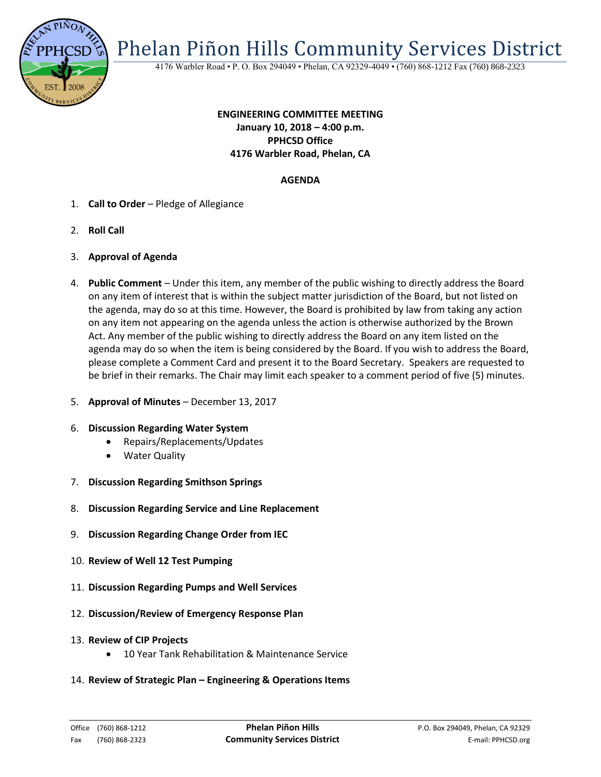

Phelan Piñon Hills Community Services District

4176 Warbler Road • P. O. Box 294049 • Phelan, CA 92329-4049 • (760) 868-1212 Fax (760) 868-2323

# **ENGINEERING COMMITTEE MEETING January 10, 2018 – 4:00 p.m. PPHCSD Office 4176 Warbler Road, Phelan, CA**

# **AGENDA**

- 1. **Call to Order** Pledge of Allegiance
- 2. **Roll Call**
- 3. **Approval of Agenda**
- 4. **Public Comment**  Under this item, any member of the public wishing to directly address the Board on any item of interest that is within the subject matter jurisdiction of the Board, but not listed on the agenda, may do so at this time. However, the Board is prohibited by law from taking any action on any item not appearing on the agenda unless the action is otherwise authorized by the Brown Act. Any member of the public wishing to directly address the Board on any item listed on the agenda may do so when the item is being considered by the Board. If you wish to address the Board, please complete a Comment Card and present it to the Board Secretary. Speakers are requested to be brief in their remarks. The Chair may limit each speaker to a comment period of five (5) minutes.
- 5. **Approval of Minutes**  December 13, 2017

#### 6. **Discussion Regarding Water System**

- Repairs/Replacements/Updates
- Water Quality
- 7. **Discussion Regarding Smithson Springs**
- 8. **Discussion Regarding Service and Line Replacement**
- 9. **Discussion Regarding Change Order from IEC**
- 10. **Review of Well 12 Test Pumping**
- 11. **Discussion Regarding Pumps and Well Services**
- 12. **Discussion/Review of Emergency Response Plan**
- 13. **Review of CIP Projects**
	- 10 Year Tank Rehabilitation & Maintenance Service
- 14. **Review of Strategic Plan – Engineering & Operations Items**